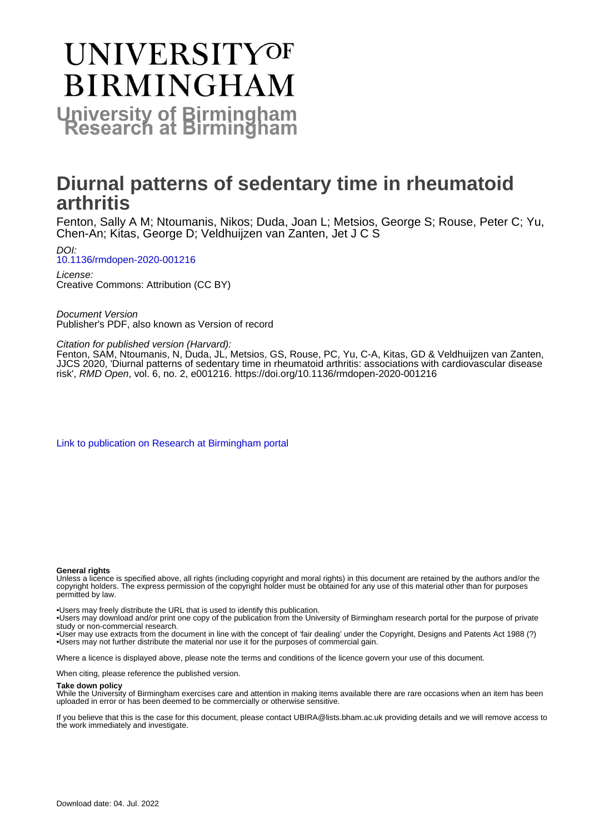# **UNIVERSITYOF BIRMINGHAM University of Birmingham**

# **Diurnal patterns of sedentary time in rheumatoid arthritis**

Fenton, Sally A M; Ntoumanis, Nikos; Duda, Joan L; Metsios, George S; Rouse, Peter C; Yu, Chen-An; Kitas, George D; Veldhuijzen van Zanten, Jet J C S

DOI: [10.1136/rmdopen-2020-001216](https://doi.org/10.1136/rmdopen-2020-001216)

License: Creative Commons: Attribution (CC BY)

Document Version Publisher's PDF, also known as Version of record

#### Citation for published version (Harvard):

Fenton, SAM, Ntoumanis, N, Duda, JL, Metsios, GS, Rouse, PC, Yu, C-A, Kitas, GD & Veldhuijzen van Zanten, JJCS 2020, 'Diurnal patterns of sedentary time in rheumatoid arthritis: associations with cardiovascular disease risk', RMD Open, vol. 6, no. 2, e001216.<https://doi.org/10.1136/rmdopen-2020-001216>

[Link to publication on Research at Birmingham portal](https://birmingham.elsevierpure.com/en/publications/21577b94-db93-409f-ac4b-b202851db72e)

#### **General rights**

Unless a licence is specified above, all rights (including copyright and moral rights) in this document are retained by the authors and/or the copyright holders. The express permission of the copyright holder must be obtained for any use of this material other than for purposes permitted by law.

• Users may freely distribute the URL that is used to identify this publication.

• Users may download and/or print one copy of the publication from the University of Birmingham research portal for the purpose of private study or non-commercial research.

• User may use extracts from the document in line with the concept of 'fair dealing' under the Copyright, Designs and Patents Act 1988 (?) • Users may not further distribute the material nor use it for the purposes of commercial gain.

Where a licence is displayed above, please note the terms and conditions of the licence govern your use of this document.

When citing, please reference the published version.

#### **Take down policy**

While the University of Birmingham exercises care and attention in making items available there are rare occasions when an item has been uploaded in error or has been deemed to be commercially or otherwise sensitive.

If you believe that this is the case for this document, please contact UBIRA@lists.bham.ac.uk providing details and we will remove access to the work immediately and investigate.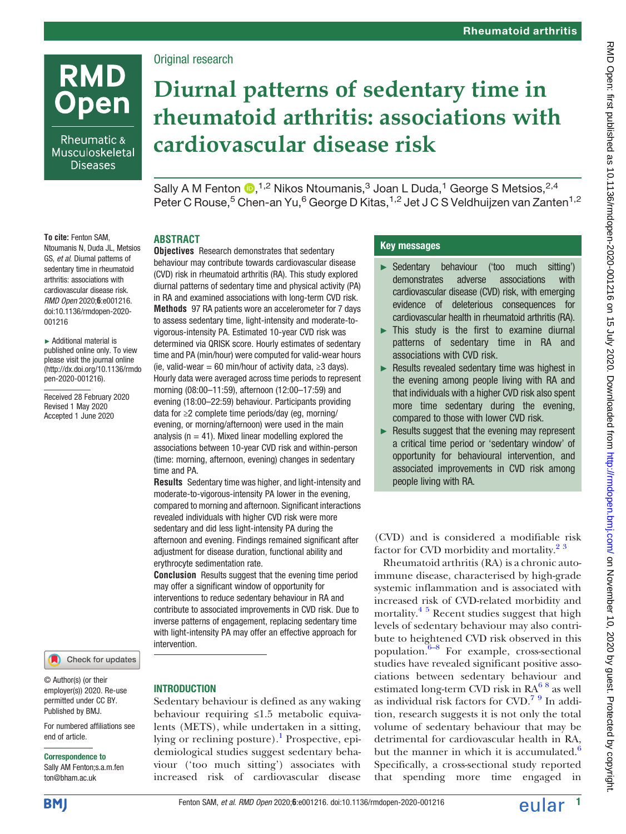# **RMD** Open

Rheumatic & Musculoskeletal **Diseases** 

To cite: Fenton SAM, Ntoumanis N, Duda JL, Metsios GS, et al. Diurnal patterns of sedentary time in rheumatoid arthritis: associations with cardiovascular disease risk. RMD Open 2020;6:e001216. doi:10.1136/rmdopen-2020-

► Additional material is published online only. To view please visit the journal online ([http://dx.doi.org/10.1136/rmdo](http://dx.doi.org/10.1136/rmdopen-2020-001216) [pen-2020-001216](http://dx.doi.org/10.1136/rmdopen-2020-001216)).

Received 28 February 2020 Revised 1 May 2020 Accepted 1 June 2020

001216

# Diurnal patterns of sedentary time in rheumatoid arthritis: associations with cardiovascular disease risk

Sally A M Fenton  $\mathbf{D}$ [,](http://orcid.org/0000-0002-3732-1348)<sup>1,2</sup> Nikos Ntoumanis,<sup>3</sup> Joan L Duda,<sup>1</sup> George S Metsios,<sup>2,4</sup> Peter C Rouse,<sup>5</sup> Chen-an Yu,<sup>6</sup> George D Kitas,<sup>1,2</sup> Jet J C S Veldhuijzen van Zanten<sup>1,2</sup>

# ABSTRACT

Original research

Objectives Research demonstrates that sedentary behaviour may contribute towards cardiovascular disease (CVD) risk in rheumatoid arthritis (RA). This study explored diurnal patterns of sedentary time and physical activity (PA) in RA and examined associations with long-term CVD risk. Methods 97 RA patients wore an accelerometer for 7 days to assess sedentary time, light-intensity and moderate-tovigorous-intensity PA. Estimated 10-year CVD risk was determined via QRISK score. Hourly estimates of sedentary time and PA (min/hour) were computed for valid-wear hours (ie, valid-wear = 60 min/hour of activity data, ≥3 days). Hourly data were averaged across time periods to represent morning (08:00–11:59), afternoon (12:00–17:59) and evening (18:00–22:59) behaviour. Participants providing data for ≥2 complete time periods/day (eg, morning/ evening, or morning/afternoon) were used in the main analysis ( $n = 41$ ). Mixed linear modelling explored the associations between 10-year CVD risk and within-person (time: morning, afternoon, evening) changes in sedentary time and PA.

Results Sedentary time was higher, and light-intensity and moderate-to-vigorous-intensity PA lower in the evening, compared to morning and afternoon. Significant interactions revealed individuals with higher CVD risk were more sedentary and did less light-intensity PA during the afternoon and evening. Findings remained significant after adjustment for disease duration, functional ability and erythrocyte sedimentation rate.

Conclusion Results suggest that the evening time period may offer a significant window of opportunity for interventions to reduce sedentary behaviour in RA and contribute to associated improvements in CVD risk. Due to inverse patterns of engagement, replacing sedentary time with light-intensity PA may offer an effective approach for intervention.

# Check for updates

© Author(s) (or their employer(s)) 2020. Re-use permitted under CC BY. Published by BMJ.

For numbered affiliations see end of article.

#### Correspondence to

Sally AM Fenton;[s.a.m.fen](mailto:s.a.m.fenton@bham.ac.uk) [ton@bham.ac.uk](mailto:s.a.m.fenton@bham.ac.uk)

#### INTRODUCTION

Sedentary behaviour is defined as any waking behaviour requiring ≤1.5 metabolic equivalents (METS), while undertaken in a sitting, lying or reclining posture).<sup>[1](#page-9-0)</sup> Prospective, epidemiological studies suggest sedentary behaviour ('too much sitting') associates with increased risk of cardiovascular disease

# Key messages

- ► Sedentary behaviour ('too much sitting') demonstrates adverse associations with cardiovascular disease (CVD) risk, with emerging evidence of deleterious consequences for cardiovascular health in rheumatoid arthritis (RA).
- ► This study is the first to examine diurnal patterns of sedentary time in RA and associations with CVD risk.
- ► Results revealed sedentary time was highest in the evening among people living with RA and that individuals with a higher CVD risk also spent more time sedentary during the evening, compared to those with lower CVD risk.
- $\blacktriangleright$  Results suggest that the evening may represent a critical time period or 'sedentary window' of opportunity for behavioural intervention, and associated improvements in CVD risk among people living with RA.

(CVD) and is considered a modifiable risk factor for CVD morbidity and mortality.<sup>23</sup>

Rheumatoid arthritis (RA) is a chronic autoimmune disease, characterised by high-grade systemic inflammation and is associated with increased risk of CVD-related morbidity and mortality.<sup>45</sup> Recent studies suggest that high levels of sedentary behaviour may also contribute to heightened CVD risk observed in this population. $6-8$  $6-8$  For example, cross-sectional studies have revealed significant positive associations between sedentary behaviour and estimated long-term CVD risk in  $RA^{6.8}$  as well as individual risk factors for CVD.<sup>79</sup> In addition, research suggests it is not only the total volume of sedentary behaviour that may be detrimental for cardiovascular health in RA, but the manner in which it is accumulated.<sup>6</sup> Specifically, a cross-sectional study reported that spending more time engaged in

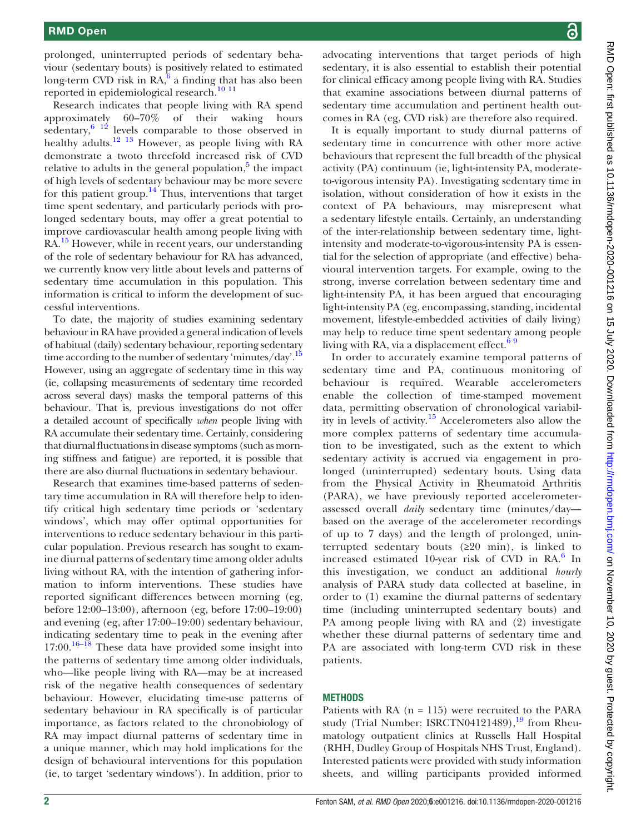prolonged, uninterrupted periods of sedentary behaviour (sedentary bouts) is positively related to estimated long-term CVD risk in  $RA<sup>6</sup>$  a finding that has also been reported in epidemiological research.<sup>[10 11](#page-9-6)</sup>

Research indicates that people living with RA spend approximately 60–70% of their waking hours  $\frac{1}{2}$  sedentary,  $\frac{6}{2}$  levels comparable to those observed in healthy adults.<sup>12 13</sup> However, as people living with RA demonstrate a twoto threefold increased risk of CVD relative to adults in the general population, $5$  the impact of high levels of sedentary behaviour may be more severe for this patient group.<sup>[14](#page-9-9)</sup> Thus, interventions that target time spent sedentary, and particularly periods with prolonged sedentary bouts, may offer a great potential to improve cardiovascular health among people living with RA.<sup>[15](#page-9-10)</sup> However, while in recent years, our understanding of the role of sedentary behaviour for RA has advanced, we currently know very little about levels and patterns of sedentary time accumulation in this population. This information is critical to inform the development of successful interventions.

To date, the majority of studies examining sedentary behaviour in RA have provided a general indication of levels of habitual (daily) sedentary behaviour, reporting sedentary time according to the number of sedentary 'minutes/day'.<sup>[15](#page-9-10)</sup> However, using an aggregate of sedentary time in this way (ie, collapsing measurements of sedentary time recorded across several days) masks the temporal patterns of this behaviour. That is, previous investigations do not offer a detailed account of specifically when people living with RA accumulate their sedentary time. Certainly, considering that diurnal fluctuations in disease symptoms (such as morning stiffness and fatigue) are reported, it is possible that there are also diurnal fluctuations in sedentary behaviour.

Research that examines time-based patterns of sedentary time accumulation in RA will therefore help to identify critical high sedentary time periods or 'sedentary windows', which may offer optimal opportunities for interventions to reduce sedentary behaviour in this particular population. Previous research has sought to examine diurnal patterns of sedentary time among older adults living without RA, with the intention of gathering information to inform interventions. These studies have reported significant differences between morning (eg, before 12:00–13:00), afternoon (eg, before 17:00–19:00) and evening (eg, after 17:00–19:00) sedentary behaviour, indicating sedentary time to peak in the evening after  $17:00$ .<sup>16–[18](#page-9-12)</sup> These data have provided some insight into the patterns of sedentary time among older individuals, who—like people living with RA—may be at increased risk of the negative health consequences of sedentary behaviour. However, elucidating time-use patterns of sedentary behaviour in RA specifically is of particular importance, as factors related to the chronobiology of RA may impact diurnal patterns of sedentary time in a unique manner, which may hold implications for the design of behavioural interventions for this population (ie, to target 'sedentary windows'). In addition, prior to

advocating interventions that target periods of high sedentary, it is also essential to establish their potential for clinical efficacy among people living with RA. Studies that examine associations between diurnal patterns of sedentary time accumulation and pertinent health outcomes in RA (eg, CVD risk) are therefore also required.

It is equally important to study diurnal patterns of sedentary time in concurrence with other more active behaviours that represent the full breadth of the physical activity (PA) continuum (ie, light-intensity PA, moderateto-vigorous intensity PA). Investigating sedentary time in isolation, without consideration of how it exists in the context of PA behaviours, may misrepresent what a sedentary lifestyle entails. Certainly, an understanding of the inter-relationship between sedentary time, lightintensity and moderate-to-vigorous-intensity PA is essential for the selection of appropriate (and effective) behavioural intervention targets. For example, owing to the strong, inverse correlation between sedentary time and light-intensity PA, it has been argued that encouraging light-intensity PA (eg, encompassing, standing, incidental movement, lifestyle-embedded activities of daily living) may help to reduce time spent sedentary among people living with RA, via a displacement effect. $69$ 

In order to accurately examine temporal patterns of sedentary time and PA, continuous monitoring of behaviour is required. Wearable accelerometers enable the collection of time-stamped movement data, permitting observation of chronological variability in levels of activity.[15](#page-9-10) Accelerometers also allow the more complex patterns of sedentary time accumulation to be investigated, such as the extent to which sedentary activity is accrued via engagement in prolonged (uninterrupted) sedentary bouts. Using data from the Physical Activity in Rheumatoid Arthritis (PARA), we have previously reported accelerometerassessed overall daily sedentary time (minutes/day based on the average of the accelerometer recordings of up to 7 days) and the length of prolonged, uninterrupted sedentary bouts  $(220 \text{ min})$ , is linked to increased estimated 10-year risk of CVD in  $RA<sup>6</sup>$  $RA<sup>6</sup>$  $RA<sup>6</sup>$  In this investigation, we conduct an additional hourly analysis of PARA study data collected at baseline, in order to (1) examine the diurnal patterns of sedentary time (including uninterrupted sedentary bouts) and PA among people living with RA and (2) investigate whether these diurnal patterns of sedentary time and PA are associated with long-term CVD risk in these patients.

#### **METHODS**

Patients with RA  $(n = 115)$  were recruited to the PARA study (Trial Number: ISRCTN04121489), $^{19}$  $^{19}$  $^{19}$  from Rheumatology outpatient clinics at Russells Hall Hospital (RHH, Dudley Group of Hospitals NHS Trust, England). Interested patients were provided with study information sheets, and willing participants provided informed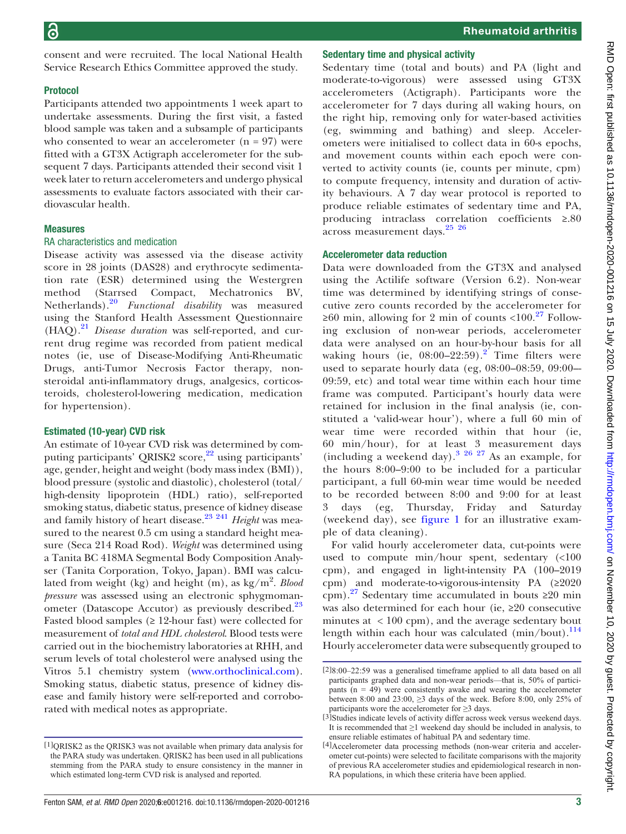consent and were recruited. The local National Health Service Research Ethics Committee approved the study.

#### Protocol

Participants attended two appointments 1 week apart to undertake assessments. During the first visit, a fasted blood sample was taken and a subsample of participants who consented to wear an accelerometer  $(n = 97)$  were fitted with a GT3X Actigraph accelerometer for the subsequent 7 days. Participants attended their second visit 1 week later to return accelerometers and undergo physical assessments to evaluate factors associated with their cardiovascular health.

#### Measures

#### RA characteristics and medication

Disease activity was assessed via the disease activity score in 28 joints (DAS28) and erythrocyte sedimentation rate (ESR) determined using the Westergren method (Starrsed Compact, Mechatronics BV, Netherlands).<sup>[20](#page-9-14)</sup> Functional disability was measured using the Stanford Health Assessment Questionnaire  $(HAQ).$ <sup>[21](#page-9-15)</sup> Disease duration was self-reported, and current drug regime was recorded from patient medical notes (ie, use of Disease-Modifying Anti-Rheumatic Drugs, anti-Tumor Necrosis Factor therapy, nonsteroidal anti-inflammatory drugs, analgesics, corticosteroids, cholesterol-lowering medication, medication for hypertension).

#### Estimated (10-year) CVD risk

An estimate of 10-year CVD risk was determined by com-puting participants' QRISK2 score,<sup>[22](#page-9-16)</sup> using participants' age, gender, height and weight (body mass index (BMI)), blood pressure (systolic and diastolic), cholesterol (total/ high-density lipoprotein (HDL) ratio), self-reported smoking status, diabetic status, presence of kidney disease and family history of heart disease.<sup>23</sup>  $^{241}$  $^{241}$  $^{241}$  Height was measured to the nearest 0.5 cm using a standard height measure (Seca 214 Road Rod). Weight was determined using a Tanita BC 418MA Segmental Body Composition Analyser (Tanita Corporation, Tokyo, Japan). BMI was calculated from weight (kg) and height (m), as kg/m<sup>2</sup>. Blood pressure was assessed using an electronic sphygmomanometer (Datascope Accutor) as previously described.<sup>23</sup> Fasted blood samples (≥ 12-hour fast) were collected for measurement of total and HDL cholesterol. Blood tests were carried out in the biochemistry laboratories at RHH, and serum levels of total cholesterol were analysed using the Vitros 5.1 chemistry system [\(www.orthoclinical.com](www.orthoclinical.com)). Smoking status, diabetic status, presence of kidney disease and family history were self-reported and corroborated with medical notes as appropriate.

#### Sedentary time and physical activity

Sedentary time (total and bouts) and PA (light and moderate-to-vigorous) were assessed using GT3X accelerometers (Actigraph). Participants wore the accelerometer for 7 days during all waking hours, on the right hip, removing only for water-based activities (eg, swimming and bathing) and sleep. Accelerometers were initialised to collect data in 60-s epochs, and movement counts within each epoch were converted to activity counts (ie, counts per minute, cpm) to compute frequency, intensity and duration of activity behaviours. A 7 day wear protocol is reported to produce reliable estimates of sedentary time and PA, producing intraclass correlation coefficients ≥.80 across measurement days.<sup>25</sup> <sup>26</sup>

#### Accelerometer data reduction

Data were downloaded from the GT3X and analysed using the Actilife software (Version 6.2). Non-wear time was determined by identifying strings of consecutive zero counts recorded by the accelerometer for ≥60 min, allowing for 2 min of counts  $\langle 100.27 \text{ Follow}$  $\langle 100.27 \text{ Follow}$  $\langle 100.27 \text{ Follow}$ ing exclusion of non-wear periods, accelerometer data were analysed on an hour-by-hour basis for all waking hours (ie,  $08:00-22:59$  $08:00-22:59$  $08:00-22:59$ ).<sup>2</sup> Time filters were used to separate hourly data (eg, 08:00–08:59, 09:00–- 09:59, etc) and total wear time within each hour time frame was computed. Participant's hourly data were retained for inclusion in the final analysis (ie, constituted a 'valid-wear hour'), where a full 60 min of wear time were recorded within that hour (ie, 60 min/hour), for at least 3 measurement days (including a weekend day).<sup>[3](#page-3-2) [26 27](#page-9-20)</sup> As an example, for the hours 8:00–9:00 to be included for a particular participant, a full 60-min wear time would be needed to be recorded between 8:00 and 9:00 for at least 3 days (eg, Thursday, Friday and Saturday (weekend day), see [figure 1](#page-4-0) for an illustrative example of data cleaning).

For valid hourly accelerometer data, cut-points were used to compute min/hour spent, sedentary (<100 cpm), and engaged in light-intensity PA (100–2019 cpm) and moderate-to-vigorous-intensity PA (≥2020 cpm).<sup>[27](#page-9-19)</sup> Sedentary time accumulated in bouts  $\geq 20$  min was also determined for each hour (ie, ≥20 consecutive minutes at  $\langle 100 \text{ cm} \rangle$ , and the average sedentary bout length within each hour was calculated (min/bout).<sup>[11](#page-9-21)[4](#page-3-3)</sup> Hourly accelerometer data were subsequently grouped to

<span id="page-3-0"></span><sup>[1]</sup>QRISK2 as the QRISK3 was not available when primary data analysis for the PARA study was undertaken. QRISK2 has been used in all publications stemming from the PARA study to ensure consistency in the manner in which estimated long-term CVD risk is analysed and reported.

<span id="page-3-1"></span><sup>[2]8:00</sup>–22:59 was a generalised timeframe applied to all data based on all participants graphed data and non-wear periods—that is, 50% of participants  $(n = 49)$  were consistently awake and wearing the accelerometer between 8:00 and 23:00,  $\geq$ 3 days of the week. Before 8:00, only 25% of participants wore the accelerometer for ≥3 days.

<span id="page-3-2"></span><sup>[3]</sup>Studies indicate levels of activity differ across week versus weekend days. It is recommended that ≥1 weekend day should be included in analysis, to ensure reliable estimates of habitual PA and sedentary time.

<span id="page-3-3"></span><sup>[4]</sup>Accelerometer data processing methods (non-wear criteria and accelerometer cut-points) were selected to facilitate comparisons with the majority of previous RA accelerometer studies and epidemiological research in non-RA populations, in which these criteria have been applied.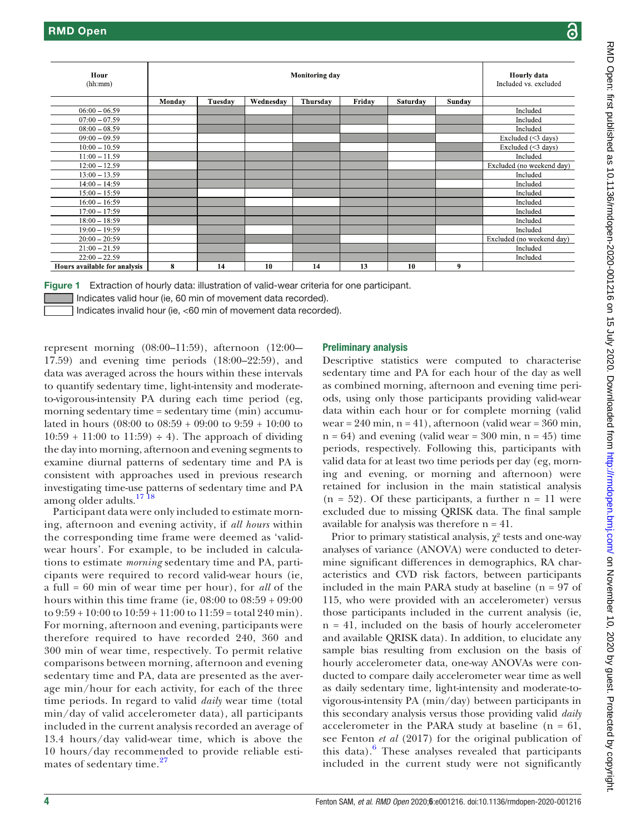<span id="page-4-0"></span>

| Hour<br>(hh:mm)              | <b>Monitoring day</b> |         |           |          |        |                 |        | <b>Hourly</b> data<br>Included vs. excluded |
|------------------------------|-----------------------|---------|-----------|----------|--------|-----------------|--------|---------------------------------------------|
|                              | Monday                | Tuesday | Wednesday | Thursday | Friday | <b>Saturday</b> | Sunday |                                             |
| $06:00 - 06.59$              |                       |         |           |          |        |                 |        | Included                                    |
| $07:00 - 07.59$              |                       |         |           |          |        |                 |        | Included                                    |
| $08:00 - 08.59$              |                       |         |           |          |        |                 |        | Included                                    |
| $09:00 - 09.59$              |                       |         |           |          |        |                 |        | Excluded $(<3$ days)                        |
| $10:00 - 10.59$              |                       |         |           |          |        |                 |        | Excluded $(\leq 3$ days)                    |
| $11:00 - 11.59$              |                       |         |           |          |        |                 |        | Included                                    |
| $12:00 - 12.59$              |                       |         |           |          |        |                 |        | Excluded (no weekend day)                   |
| $13:00 - 13.59$              |                       |         |           |          |        |                 |        | Included                                    |
| $14:00 - 14:59$              |                       |         |           |          |        |                 |        | Included                                    |
| $15:00 - 15:59$              |                       |         |           |          |        |                 |        | Included                                    |
| $16:00 - 16:59$              |                       |         |           |          |        |                 |        | Included                                    |
| $17:00 - 17:59$              |                       |         |           |          |        |                 |        | Included                                    |
| $18:00 - 18:59$              |                       |         |           |          |        |                 |        | Included                                    |
| $19:00 - 19:59$              |                       |         |           |          |        |                 |        | Included                                    |
| $20:00 - 20:59$              |                       |         |           |          |        |                 |        | Excluded (no weekend day)                   |
| $21:00 - 21.59$              |                       |         |           |          |        |                 |        | Included                                    |
| $22:00 - 22.59$              |                       |         |           |          |        |                 |        | Included                                    |
| Hours available for analysis | 8                     | 14      | 10        | 14       | 13     | 10              | 9      |                                             |

Figure 1 Extraction of hourly data: illustration of valid-wear criteria for one participant.

Indicates valid hour (ie, 60 min of movement data recorded).

Indicates invalid hour (ie, <60 min of movement data recorded).

represent morning (08:00-11:59), afternoon (12:00-17.59) and evening time periods (18:00–22:59), and data was averaged across the hours within these intervals to quantify sedentary time, light-intensity and moderateto-vigorous-intensity PA during each time period (eg, morning sedentary time = sedentary time (min) accumulated in hours (08:00 to 08:59 + 09:00 to 9:59 + 10:00 to  $10:59 + 11:00$  to  $11:59$ )  $\div$  4). The approach of dividing the day into morning, afternoon and evening segments to examine diurnal patterns of sedentary time and PA is consistent with approaches used in previous research investigating time-use patterns of sedentary time and PA among older adults.<sup>17</sup> 18

Participant data were only included to estimate morning, afternoon and evening activity, if all hours within the corresponding time frame were deemed as 'validwear hours'. For example, to be included in calculations to estimate morning sedentary time and PA, participants were required to record valid-wear hours (ie, a full  $= 60$  min of wear time per hour), for *all* of the hours within this time frame (ie,  $08:00$  to  $08:59 + 09:00$ to  $9:59 + 10:00$  to  $10:59 + 11:00$  to  $11:59 =$  total 240 min). For morning, afternoon and evening, participants were therefore required to have recorded 240, 360 and 300 min of wear time, respectively. To permit relative comparisons between morning, afternoon and evening sedentary time and PA, data are presented as the average min/hour for each activity, for each of the three time periods. In regard to valid *daily* wear time (total min/day of valid accelerometer data), all participants included in the current analysis recorded an average of 13.4 hours/day valid-wear time, which is above the 10 hours/day recommended to provide reliable esti-mates of sedentary time.<sup>[27](#page-9-19)</sup>

# Preliminary analysis

Descriptive statistics were computed to characterise sedentary time and PA for each hour of the day as well as combined morning, afternoon and evening time periods, using only those participants providing valid-wear data within each hour or for complete morning (valid wear =  $240$  min, n =  $41$ ), afternoon (valid wear =  $360$  min,  $n = 64$ ) and evening (valid wear = 300 min,  $n = 45$ ) time periods, respectively. Following this, participants with valid data for at least two time periods per day (eg, morning and evening, or morning and afternoon) were retained for inclusion in the main statistical analysis  $(n = 52)$ . Of these participants, a further  $n = 11$  were excluded due to missing QRISK data. The final sample available for analysis was therefore n = 41.

Prior to primary statistical analysis,  $\chi^2$  tests and one-way analyses of variance (ANOVA) were conducted to determine significant differences in demographics, RA characteristics and CVD risk factors, between participants included in the main PARA study at baseline ( $n = 97$  of 115, who were provided with an accelerometer) versus those participants included in the current analysis (ie, n = 41, included on the basis of hourly accelerometer and available QRISK data). In addition, to elucidate any sample bias resulting from exclusion on the basis of hourly accelerometer data, one-way ANOVAs were conducted to compare daily accelerometer wear time as well as daily sedentary time, light-intensity and moderate-tovigorous-intensity PA (min/day) between participants in this secondary analysis versus those providing valid *daily* accelerometer in the PARA study at baseline  $(n = 61,$ see Fenton *et al* (2017) for the original publication of this data). $6$  These analyses revealed that participants included in the current study were not significantly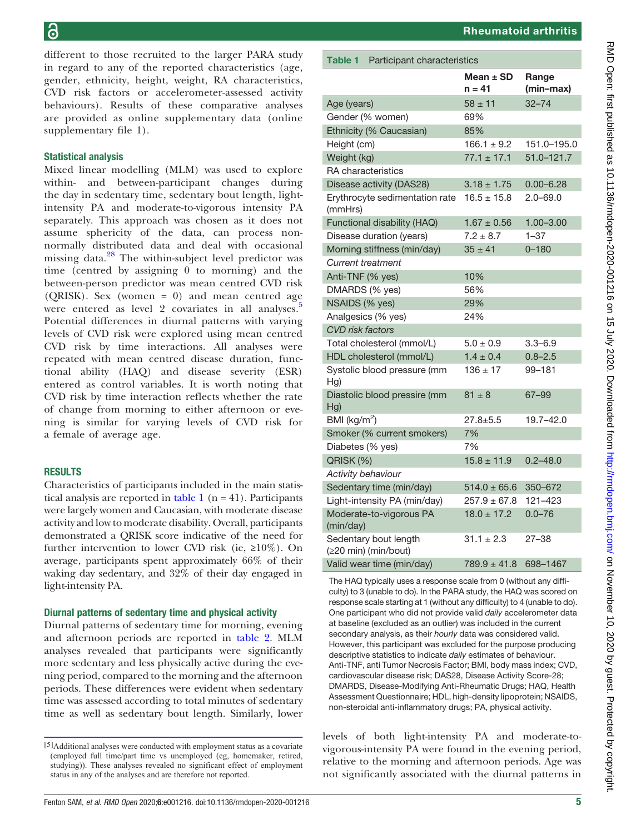different to those recruited to the larger PARA study in regard to any of the reported characteristics (age, gender, ethnicity, height, weight, RA characteristics, CVD risk factors or accelerometer-assessed activity behaviours). Results of these comparative analyses are provided as [online supplementary data \(online](https://dx.doi.org/10.1136/rmdopen-2020-001216) [supplementary file 1](https://dx.doi.org/10.1136/rmdopen-2020-001216)).

#### Statistical analysis

Mixed linear modelling (MLM) was used to explore within- and between-participant changes during the day in sedentary time, sedentary bout length, lightintensity PA and moderate-to-vigorous intensity PA separately. This approach was chosen as it does not assume sphericity of the data, can process nonnormally distributed data and deal with occasional missing data.[28](#page-9-23) The within-subject level predictor was time (centred by assigning  $\ddot{\theta}$  to morning) and the between-person predictor was mean centred CVD risk (QRISK). Sex (women = 0) and mean centred age were entered as level 2 covariates in all analyses. $5$ Potential differences in diurnal patterns with varying levels of CVD risk were explored using mean centred CVD risk by time interactions. All analyses were repeated with mean centred disease duration, functional ability (HAQ) and disease severity (ESR) entered as control variables. It is worth noting that CVD risk by time interaction reflects whether the rate of change from morning to either afternoon or evening is similar for varying levels of CVD risk for a female of average age.

#### RESULTS

Characteristics of participants included in the main statistical analysis are reported in table  $1$  (n = 41). Participants were largely women and Caucasian, with moderate disease activity and low to moderate disability. Overall, participants demonstrated a QRISK score indicative of the need for further intervention to lower CVD risk (ie,  $\geq 10\%$ ). On average, participants spent approximately 66% of their waking day sedentary, and 32% of their day engaged in light-intensity PA.

#### Diurnal patterns of sedentary time and physical activity

Diurnal patterns of sedentary time for morning, evening and afternoon periods are reported in [table 2.](#page-6-0) MLM analyses revealed that participants were significantly more sedentary and less physically active during the evening period, compared to the morning and the afternoon periods. These differences were evident when sedentary time was assessed according to total minutes of sedentary time as well as sedentary bout length. Similarly, lower

<span id="page-5-1"></span>

| <b>Table 1</b><br>Participant characteristics |                         |                    |  |  |  |  |  |
|-----------------------------------------------|-------------------------|--------------------|--|--|--|--|--|
|                                               | Mean $\pm$ SD<br>n = 41 | Range<br>(min-max) |  |  |  |  |  |
| Age (years)                                   | $58 \pm 11$             | $32 - 74$          |  |  |  |  |  |
| Gender (% women)                              | 69%                     |                    |  |  |  |  |  |
| Ethnicity (% Caucasian)                       | 85%                     |                    |  |  |  |  |  |
| Height (cm)                                   | $166.1 \pm 9.2$         | 151.0–195.0        |  |  |  |  |  |
| Weight (kg)                                   | $77.1 \pm 17.1$         | $51.0 - 121.7$     |  |  |  |  |  |
| RA characteristics                            |                         |                    |  |  |  |  |  |
| Disease activity (DAS28)                      | $3.18 \pm 1.75$         | $0.00 - 6.28$      |  |  |  |  |  |
| Erythrocyte sedimentation rate<br>(mmHrs)     | $16.5 \pm 15.8$         | $2.0 - 69.0$       |  |  |  |  |  |
| Functional disability (HAQ)                   | $1.67 \pm 0.56$         | $1.00 - 3.00$      |  |  |  |  |  |
| Disease duration (years)                      | $7.2 \pm 8.7$           | $1 - 37$           |  |  |  |  |  |
| Morning stiffness (min/day)                   | $35 \pm 41$             | $0 - 180$          |  |  |  |  |  |
| <b>Current treatment</b>                      |                         |                    |  |  |  |  |  |
| Anti-TNF (% yes)                              | 10%                     |                    |  |  |  |  |  |
| DMARDS (% yes)                                | 56%                     |                    |  |  |  |  |  |
| NSAIDS (% yes)                                | 29%                     |                    |  |  |  |  |  |
| Analgesics (% yes)                            | 24%                     |                    |  |  |  |  |  |
| <b>CVD</b> risk factors                       |                         |                    |  |  |  |  |  |
| Total cholesterol (mmol/L)                    | $5.0 \pm 0.9$           | $3.3 - 6.9$        |  |  |  |  |  |
| HDL cholesterol (mmol/L)                      | $1.4 \pm 0.4$           | $0.8 - 2.5$        |  |  |  |  |  |
| Systolic blood pressure (mm<br>Hg)            | $136 \pm 17$            | 99-181             |  |  |  |  |  |
| Diastolic blood pressire (mm<br>Hg)           | $81 \pm 8$              | 67-99              |  |  |  |  |  |
| BMI ( $\text{kg/m}^2$ )                       | $27.8 + 5.5$            | 19.7-42.0          |  |  |  |  |  |
| Smoker (% current smokers)                    | 7%                      |                    |  |  |  |  |  |
| Diabetes (% yes)                              | 7%                      |                    |  |  |  |  |  |
| QRISK (%)                                     | $15.8 \pm 11.9$         | $0.2 - 48.0$       |  |  |  |  |  |
| Activity behaviour                            |                         |                    |  |  |  |  |  |
| Sedentary time (min/day)                      | $514.0 \pm 65.6$        | 350-672            |  |  |  |  |  |
| Light-intensity PA (min/day)                  | $257.9 \pm 67.8$        | 121-423            |  |  |  |  |  |
| Moderate-to-vigorous PA<br>(min/day)          | $18.0 \pm 17.2$         | $0.0 - 76$         |  |  |  |  |  |
| Sedentary bout length<br>(≥20 min) (min/bout) | $31.1 \pm 2.3$          | 27–38              |  |  |  |  |  |
| Valid wear time (min/day)                     | $789.9 \pm 41.8$        | 698-1467           |  |  |  |  |  |

The HAQ typically uses a response scale from 0 (without any difficulty) to 3 (unable to do). In the PARA study, the HAQ was scored on response scale starting at 1 (without any difficulty) to 4 (unable to do). One participant who did not provide valid daily accelerometer data at baseline (excluded as an outlier) was included in the current secondary analysis, as their hourly data was considered valid. However, this participant was excluded for the purpose producing descriptive statistics to indicate daily estimates of behaviour. Anti-TNF, anti Tumor Necrosis Factor; BMI, body mass index; CVD, cardiovascular disease risk; DAS28, Disease Activity Score-28; DMARDS, Disease-Modifying Anti-Rheumatic Drugs; HAQ, Health Assessment Questionnaire; HDL, high-density lipoprotein; NSAIDS, non-steroidal anti-inflammatory drugs; PA, physical activity.

levels of both light-intensity PA and moderate-tovigorous-intensity PA were found in the evening period, relative to the morning and afternoon periods. Age was not significantly associated with the diurnal patterns in

<span id="page-5-0"></span><sup>[5]</sup>Additional analyses were conducted with employment status as a covariate (employed full time/part time vs unemployed (eg, homemaker, retired, studying)). These analyses revealed no significant effect of employment status in any of the analyses and are therefore not reported.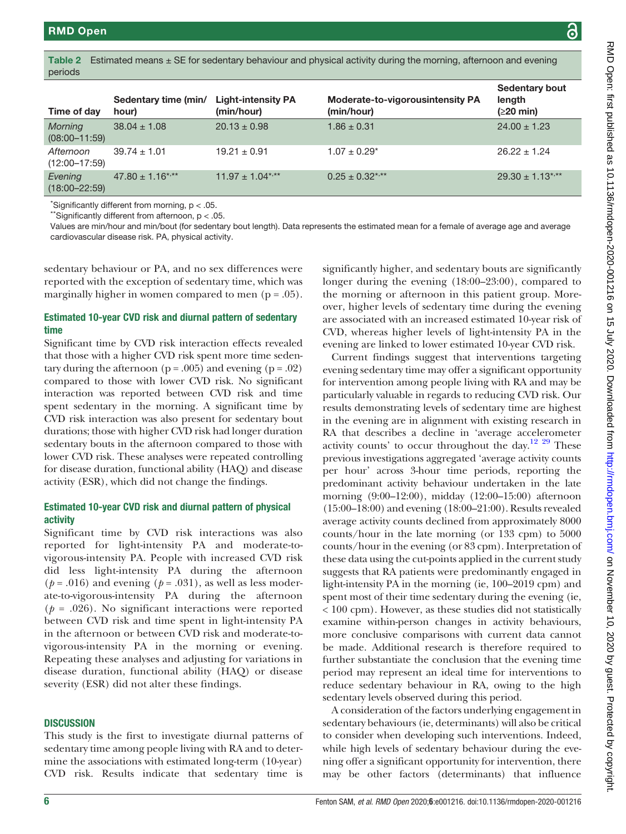time

<span id="page-6-0"></span>Current findings suggest that interventions targeting evening sedentary time may offer a significant opportunity for intervention among people living with RA and may be particularly valuable in regards to reducing CVD risk. Our results demonstrating levels of sedentary time are highest in the evening are in alignment with existing research in RA that describes a decline in 'average accelerometer activity counts' to occur throughout the day. $^{12}$   $^{29}$  These previous investigations aggregated 'average activity counts per hour' across 3-hour time periods, reporting the predominant activity behaviour undertaken in the late morning (9:00–12:00), midday (12:00–15:00) afternoon (15:00–18:00) and evening (18:00–21:00). Results revealed average activity counts declined from approximately 8000 counts/hour in the late morning (or 133 cpm) to 5000 Table 2 Estimated means  $\pm$  SE for sedentary behaviour and physical activity during the morning, afternoon and evening Sedentary bout length (≥20 min) \*\* 29.30  $\pm$  1.13\*,\*\*

sedentary behaviour or PA, and no sex differences were reported with the exception of sedentary time, which was marginally higher in women compared to men  $(p = .05)$ . Estimated 10-year CVD risk and diurnal pattern of sedentary significantly higher, and sedentary bouts are significantly longer during the evening (18:00–23:00), compared to the morning or afternoon in this patient group. Moreover, higher levels of sedentary time during the evening are associated with an increased estimated 10-year risk of CVD, whereas higher levels of light-intensity PA in the evening are linked to lower estimated 10-year CVD risk.

Significant time by CVD risk interaction effects revealed that those with a higher CVD risk spent more time sedentary during the afternoon ( $p = .005$ ) and evening ( $p = .02$ ) compared to those with lower CVD risk. No significant interaction was reported between CVD risk and time spent sedentary in the morning. A significant time by CVD risk interaction was also present for sedentary bout durations; those with higher CVD risk had longer duration sedentary bouts in the afternoon compared to those with lower CVD risk. These analyses were repeated controlling for disease duration, functional ability (HAQ) and disease activity (ESR), which did not change the findings.

#### Estimated 10-year CVD risk and diurnal pattern of physical activity

Significant time by CVD risk interactions was also reported for light-intensity PA and moderate-tovigorous-intensity PA. People with increased CVD risk did less light-intensity PA during the afternoon ( $p = .016$ ) and evening ( $p = .031$ ), as well as less moderate-to-vigorous-intensity PA during the afternoon ( $p = .026$ ). No significant interactions were reported between CVD risk and time spent in light-intensity PA in the afternoon or between CVD risk and moderate-tovigorous-intensity PA in the morning or evening. Repeating these analyses and adjusting for variations in disease duration, functional ability (HAQ) or disease severity (ESR) did not alter these findings.

#### **DISCUSSION**

This study is the first to investigate diurnal patterns of sedentary time among people living with RA and to determine the associations with estimated long-term (10-year) CVD risk. Results indicate that sedentary time is sedentary levels observed during this period. A consideration of the factors underlying engagement in sedentary behaviours (ie, determinants) will also be critical to consider when developing such interventions. Indeed, while high levels of sedentary behaviour during the evening offer a significant opportunity for intervention, there may be other factors (determinants) that influence

counts/hour in the evening (or 83 cpm). Interpretation of these data using the cut-points applied in the current study suggests that RA patients were predominantly engaged in light-intensity PA in the morning (ie, 100–2019 cpm) and spent most of their time sedentary during the evening (ie, < 100 cpm). However, as these studies did not statistically examine within-person changes in activity behaviours, more conclusive comparisons with current data cannot be made. Additional research is therefore required to further substantiate the conclusion that the evening time period may represent an ideal time for interventions to reduce sedentary behaviour in RA, owing to the high

# 6 Fenton SAM, et al. RMD Open 2020;6:e001216. doi:10.1136/rmdopen-2020-001216

periods Time of day Sedentary time (min/ hour) Light-intensity PA (min/hour) Moderate-to-vigorousintensity PA (min/hour) **Morning** (08:00–11:59)  $38.04 \pm 1.08$  20.13  $\pm 0.98$  1.86  $\pm 0.31$  24.00  $\pm 1.23$ Afternoon (12:00–17:59)  $39.74 \pm 1.01$  19.21  $\pm$  0.91 1.07  $\pm$  0.29\* 26.22  $\pm$  1.24 Evening (18:00–22:59)  $47.80 \pm 1.16$ \*\*\*  $11.97 \pm 1.04***$  $0.25 \pm 0.32$ \*\*\*

\*Significantly different from morning, p < .05.

\*\*Significantly different from afternoon, p < .05.

Values are min/hour and min/bout (for sedentary bout length). Data represents the estimated mean for a female of average age and average cardiovascular disease risk. PA, physical activity.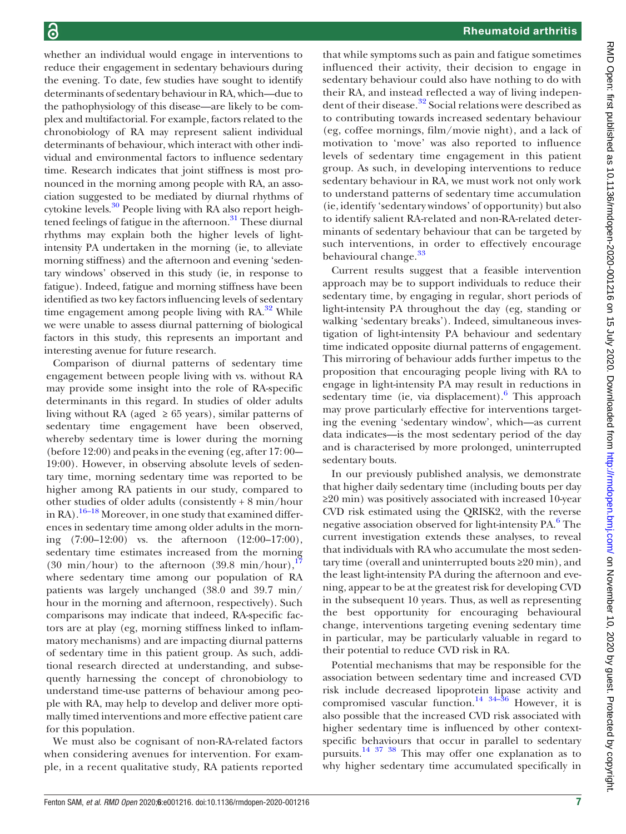whether an individual would engage in interventions to reduce their engagement in sedentary behaviours during the evening. To date, few studies have sought to identify determinants of sedentary behaviour in RA, which—due to the pathophysiology of this disease—are likely to be complex and multifactorial. For example, factors related to the chronobiology of RA may represent salient individual determinants of behaviour, which interact with other individual and environmental factors to influence sedentary time. Research indicates that joint stiffness is most pronounced in the morning among people with RA, an association suggested to be mediated by diurnal rhythms of cytokine levels. $30$  People living with RA also report heigh-tened feelings of fatigue in the afternoon.<sup>[31](#page-9-25)</sup> These diurnal rhythms may explain both the higher levels of lightintensity PA undertaken in the morning (ie, to alleviate morning stiffness) and the afternoon and evening 'sedentary windows' observed in this study (ie, in response to fatigue). Indeed, fatigue and morning stiffness have been identified as two key factors influencing levels of sedentary time engagement among people living with  $RA<sup>32</sup>$  $RA<sup>32</sup>$  $RA<sup>32</sup>$  While we were unable to assess diurnal patterning of biological factors in this study, this represents an important and interesting avenue for future research.

Comparison of diurnal patterns of sedentary time engagement between people living with vs. without RA may provide some insight into the role of RA-specific determinants in this regard. In studies of older adults living without RA (aged  $\geq 65$  years), similar patterns of sedentary time engagement have been observed, whereby sedentary time is lower during the morning (before 12:00) and peaks in the evening (eg, after  $17:00-$ 19:00). However, in observing absolute levels of sedentary time, morning sedentary time was reported to be higher among RA patients in our study, compared to other studies of older adults (consistently + 8 min/hour in RA).  $^{16-18}$  $^{16-18}$  $^{16-18}$  Moreover, in one study that examined differences in sedentary time among older adults in the morning (7:00–12:00) vs. the afternoon (12:00–17:00), sedentary time estimates increased from the morning (30 min/hour) to the afternoon (39.8 min/hour), $^{17}$  $^{17}$  $^{17}$ where sedentary time among our population of RA patients was largely unchanged (38.0 and 39.7 min/ hour in the morning and afternoon, respectively). Such comparisons may indicate that indeed, RA-specific factors are at play (eg, morning stiffness linked to inflammatory mechanisms) and are impacting diurnal patterns of sedentary time in this patient group. As such, additional research directed at understanding, and subsequently harnessing the concept of chronobiology to understand time-use patterns of behaviour among people with RA, may help to develop and deliver more optimally timed interventions and more effective patient care for this population.

We must also be cognisant of non-RA-related factors when considering avenues for intervention. For example, in a recent qualitative study, RA patients reported

that while symptoms such as pain and fatigue sometimes influenced their activity, their decision to engage in sedentary behaviour could also have nothing to do with their RA, and instead reflected a way of living indepen-dent of their disease.<sup>[32](#page-9-26)</sup> Social relations were described as to contributing towards increased sedentary behaviour (eg, coffee mornings, film/movie night), and a lack of motivation to 'move' was also reported to influence levels of sedentary time engagement in this patient group. As such, in developing interventions to reduce sedentary behaviour in RA, we must work not only work to understand patterns of sedentary time accumulation (ie, identify 'sedentary windows' of opportunity) but also to identify salient RA-related and non-RA-related determinants of sedentary behaviour that can be targeted by such interventions, in order to effectively encourage behavioural change.<sup>[33](#page-9-27)</sup>

Current results suggest that a feasible intervention approach may be to support individuals to reduce their sedentary time, by engaging in regular, short periods of light-intensity PA throughout the day (eg, standing or walking 'sedentary breaks'). Indeed, simultaneous investigation of light-intensity PA behaviour and sedentary time indicated opposite diurnal patterns of engagement. This mirroring of behaviour adds further impetus to the proposition that encouraging people living with RA to engage in light-intensity PA may result in reductions in sedentary time (ie, via displacement).<sup>[6](#page-9-3)</sup> This approach may prove particularly effective for interventions targeting the evening 'sedentary window', which—as current data indicates—is the most sedentary period of the day and is characterised by more prolonged, uninterrupted sedentary bouts.

In our previously published analysis, we demonstrate that higher daily sedentary time (including bouts per day ≥20 min) was positively associated with increased 10-year CVD risk estimated using the QRISK2, with the reverse negative association observed for light-intensity PA.<sup>[6](#page-9-3)</sup> The current investigation extends these analyses, to reveal that individuals with RA who accumulate the most sedentary time (overall and uninterrupted bouts ≥20 min), and the least light-intensity PA during the afternoon and evening, appear to be at the greatest risk for developing CVD in the subsequent 10 years. Thus, as well as representing the best opportunity for encouraging behavioural change, interventions targeting evening sedentary time in particular, may be particularly valuable in regard to their potential to reduce CVD risk in RA.

Potential mechanisms that may be responsible for the association between sedentary time and increased CVD risk include decreased lipoprotein lipase activity and compromised vascular function.<sup>[14](#page-9-9) [34](#page-10-0)–[36](#page-10-1)</sup> However, it is also possible that the increased CVD risk associated with higher sedentary time is influenced by other contextspecific behaviours that occur in parallel to sedentary pursuits.[14 37 38](#page-9-9) This may offer one explanation as to why higher sedentary time accumulated specifically in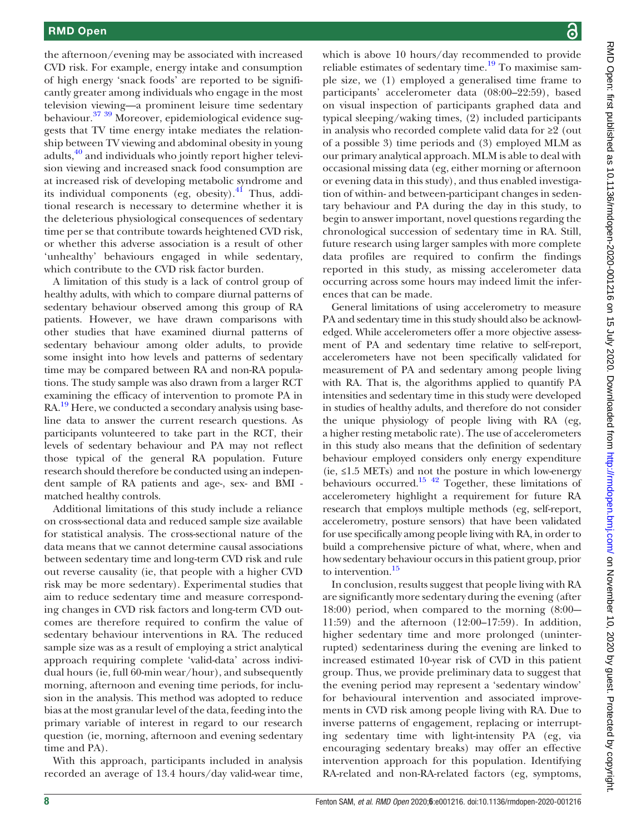the afternoon/evening may be associated with increased CVD risk. For example, energy intake and consumption of high energy 'snack foods' are reported to be significantly greater among individuals who engage in the most television viewing—a prominent leisure time sedentary behaviour[.37 39](#page-10-2) Moreover, epidemiological evidence suggests that TV time energy intake mediates the relationship between TV viewing and abdominal obesity in young adults,<sup>[40](#page-10-3)</sup> and individuals who jointly report higher television viewing and increased snack food consumption are at increased risk of developing metabolic syndrome and its individual components (eg, obesity). $^{41}$  $^{41}$  $^{41}$  Thus, additional research is necessary to determine whether it is the deleterious physiological consequences of sedentary time per se that contribute towards heightened CVD risk, or whether this adverse association is a result of other 'unhealthy' behaviours engaged in while sedentary, which contribute to the CVD risk factor burden.

A limitation of this study is a lack of control group of healthy adults, with which to compare diurnal patterns of sedentary behaviour observed among this group of RA patients. However, we have drawn comparisons with other studies that have examined diurnal patterns of sedentary behaviour among older adults, to provide some insight into how levels and patterns of sedentary time may be compared between RA and non-RA populations. The study sample was also drawn from a larger RCT examining the efficacy of intervention to promote PA in RA.<sup>19</sup> Here, we conducted a secondary analysis using baseline data to answer the current research questions. As participants volunteered to take part in the RCT, their levels of sedentary behaviour and PA may not reflect those typical of the general RA population. Future research should therefore be conducted using an independent sample of RA patients and age-, sex- and BMI matched healthy controls.

Additional limitations of this study include a reliance on cross-sectional data and reduced sample size available for statistical analysis. The cross-sectional nature of the data means that we cannot determine causal associations between sedentary time and long-term CVD risk and rule out reverse causality (ie, that people with a higher CVD risk may be more sedentary). Experimental studies that aim to reduce sedentary time and measure corresponding changes in CVD risk factors and long-term CVD outcomes are therefore required to confirm the value of sedentary behaviour interventions in RA. The reduced sample size was as a result of employing a strict analytical approach requiring complete 'valid-data' across individual hours (ie, full 60-min wear/hour), and subsequently morning, afternoon and evening time periods, for inclusion in the analysis. This method was adopted to reduce bias at the most granular level of the data, feeding into the primary variable of interest in regard to our research question (ie, morning, afternoon and evening sedentary time and PA).

With this approach, participants included in analysis recorded an average of 13.4 hours/day valid-wear time,

which is above 10 hours/day recommended to provide reliable estimates of sedentary time. $19$  To maximise sample size, we (1) employed a generalised time frame to participants' accelerometer data (08:00–22:59), based on visual inspection of participants graphed data and typical sleeping/waking times, (2) included participants in analysis who recorded complete valid data for ≥2 (out of a possible 3) time periods and (3) employed MLM as our primary analytical approach. MLM is able to deal with occasional missing data (eg, either morning or afternoon or evening data in this study), and thus enabled investigation of within- and between-participant changes in sedentary behaviour and PA during the day in this study, to begin to answer important, novel questions regarding the chronological succession of sedentary time in RA. Still, future research using larger samples with more complete data profiles are required to confirm the findings reported in this study, as missing accelerometer data occurring across some hours may indeed limit the inferences that can be made.

General limitations of using accelerometry to measure PA and sedentary time in this study should also be acknowledged. While accelerometers offer a more objective assessment of PA and sedentary time relative to self-report, accelerometers have not been specifically validated for measurement of PA and sedentary among people living with RA. That is, the algorithms applied to quantify PA intensities and sedentary time in this study were developed in studies of healthy adults, and therefore do not consider the unique physiology of people living with RA (eg, a higher resting metabolic rate). The use of accelerometers in this study also means that the definition of sedentary behaviour employed considers only energy expenditure (ie,  $\leq 1.5$  METs) and not the posture in which low-energy behaviours occurred[.15 42](#page-9-10) Together, these limitations of accelerometery highlight a requirement for future RA research that employs multiple methods (eg, self-report, accelerometry, posture sensors) that have been validated for use specifically among people living with RA, in order to build a comprehensive picture of what, where, when and how sedentary behaviour occurs in this patient group, prior to intervention.<sup>[15](#page-9-10)</sup>

In conclusion, results suggest that people living with RA are significantly more sedentary during the evening (after 18:00) period, when compared to the morning (8:00-11:59) and the afternoon (12:00–17:59). In addition, higher sedentary time and more prolonged (uninterrupted) sedentariness during the evening are linked to increased estimated 10-year risk of CVD in this patient group. Thus, we provide preliminary data to suggest that the evening period may represent a 'sedentary window' for behavioural intervention and associated improvements in CVD risk among people living with RA. Due to inverse patterns of engagement, replacing or interrupting sedentary time with light-intensity PA (eg, via encouraging sedentary breaks) may offer an effective intervention approach for this population. Identifying RA-related and non-RA-related factors (eg, symptoms,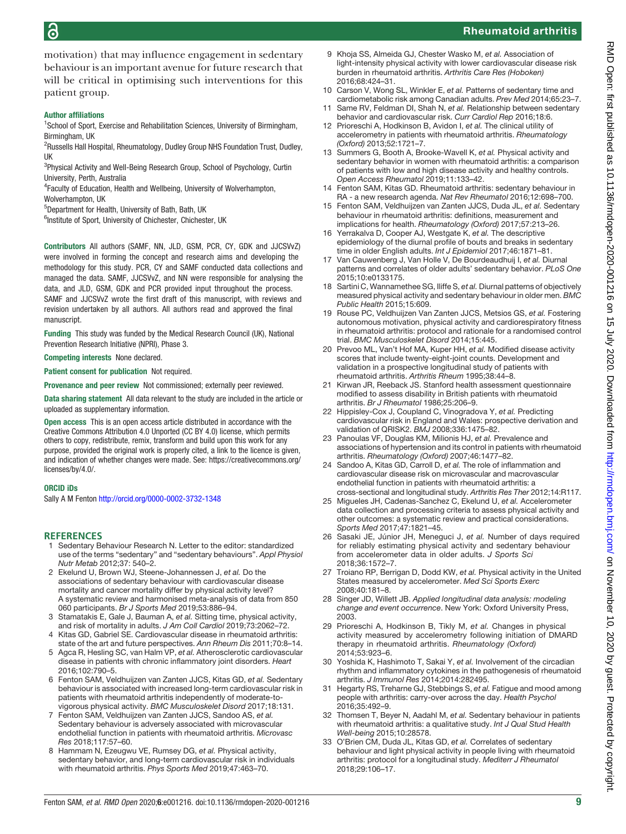### Rheumatoid arthritis

motivation) that may influence engagement in sedentary behaviour is an important avenue for future research that will be critical in optimising such interventions for this patient group.

#### Author affiliations

<sup>1</sup>School of Sport, Exercise and Rehabilitation Sciences, University of Birmingham, Birmingham, UK

<sup>2</sup>Russells Hall Hospital, Rheumatology, Dudley Group NHS Foundation Trust, Dudley, UK

<sup>3</sup>Physical Activity and Well-Being Research Group, School of Psychology, Curtin University, Perth, Australia

<sup>4</sup> Faculty of Education, Health and Wellbeing, University of Wolverhampton, Wolverhampton, UK

5 Department for Health, University of Bath, Bath, UK

<sup>6</sup>Institute of Sport, University of Chichester, Chichester, UK

Contributors All authors (SAMF, NN, JLD, GSM, PCR, CY, GDK and JJCSVvZ) were involved in forming the concept and research aims and developing the methodology for this study. PCR, CY and SAMF conducted data collections and managed the data. SAMF, JJCSVvZ, and NN were responsible for analysing the data, and JLD, GSM, GDK and PCR provided input throughout the process. SAMF and JJCSVvZ wrote the first draft of this manuscript, with reviews and revision undertaken by all authors. All authors read and approved the final manuscript.

Funding This study was funded by the Medical Research Council (UK), National Prevention Research Initiative (NPRI), Phase 3.

Competing interests None declared.

Patient consent for publication Not required.

Provenance and peer review Not commissioned; externally peer reviewed.

Data sharing statement All data relevant to the study are included in the article or uploaded as supplementary information.

Open access This is an open access article distributed in accordance with the Creative Commons Attribution 4.0 Unported (CC BY 4.0) license, which permits others to copy, redistribute, remix, transform and build upon this work for any purpose, provided the original work is properly cited, a link to the licence is given, and indication of whether changes were made. See: [https://creativecommons.org/](https://creativecommons.org/licenses/by/4.0/) [licenses/by/4.0/](https://creativecommons.org/licenses/by/4.0/).

#### ORCID iDs

Sally A M Fenton <http://orcid.org/0000-0002-3732-1348>

#### **REFERENCES**

- <span id="page-9-0"></span>1 Sedentary Behaviour Research N. Letter to the editor: standardized use of the terms "sedentary" and "sedentary behaviours". Appl Physiol Nutr Metab 2012;37: 540–2.
- <span id="page-9-1"></span>2 Ekelund U, Brown WJ, Steene-Johannessen J, et al. Do the associations of sedentary behaviour with cardiovascular disease mortality and cancer mortality differ by physical activity level? A systematic review and harmonised meta-analysis of data from 850 060 participants. Br J Sports Med 2019;53:886–94.
- 3 Stamatakis E, Gale J, Bauman A, et al. Sitting time, physical activity, and risk of mortality in adults. J Am Coll Cardiol 2019;73:2062–72.
- <span id="page-9-2"></span>4 Kitas GD, Gabriel SE. Cardiovascular disease in rheumatoid arthritis: state of the art and future perspectives. Ann Rheum Dis 2011;70:8–14.
- <span id="page-9-8"></span>5 Agca R, Hesling SC, van Halm VP, et al. Atherosclerotic cardiovascular disease in patients with chronic inflammatory joint disorders. Heart 2016;102:790–5.
- <span id="page-9-3"></span>6 Fenton SAM, Veldhuijzen van Zanten JJCS, Kitas GD, et al. Sedentary behaviour is associated with increased long-term cardiovascular risk in patients with rheumatoid arthritis independently of moderate-tovigorous physical activity. BMC Musculoskelet Disord 2017;18:131.
- <span id="page-9-5"></span>7 Fenton SAM, Veldhuijzen van Zanten JJCS, Sandoo AS, et al. Sedentary behaviour is adversely associated with microvascular endothelial function in patients with rheumatoid arthritis. Microvasc Res 2018;117:57–60.
- <span id="page-9-4"></span>8 Hammam N, Ezeugwu VE, Rumsey DG, et al. Physical activity, sedentary behavior, and long-term cardiovascular risk in individuals with rheumatoid arthritis. Phys Sports Med 2019;47:463–70.
- 9 Khoja SS, Almeida GJ, Chester Wasko M, et al. Association of light-intensity physical activity with lower cardiovascular disease risk burden in rheumatoid arthritis. Arthritis Care Res (Hoboken) 2016;68:424–31.
- <span id="page-9-6"></span>10 Carson V, Wong SL, Winkler E, et al. Patterns of sedentary time and cardiometabolic risk among Canadian adults. Prev Med 2014;65:23–7.
- <span id="page-9-21"></span>11 Same RV, Feldman DI, Shah N, et al. Relationship between sedentary behavior and cardiovascular risk. Curr Cardiol Rep 2016;18:6.
- <span id="page-9-7"></span>12 Prioreschi A, Hodkinson B, Avidon I, et al. The clinical utility of accelerometry in patients with rheumatoid arthritis. Rheumatology (Oxford) 2013;52:1721–7.
- 13 Summers G, Booth A, Brooke-Wavell K, et al. Physical activity and sedentary behavior in women with rheumatoid arthritis: a comparison of patients with low and high disease activity and healthy controls. Open Access Rheumatol 2019;11:133–42.
- <span id="page-9-9"></span>14 Fenton SAM, Kitas GD. Rheumatoid arthritis: sedentary behaviour in RA - a new research agenda. Nat Rev Rheumatol 2016;12:698–700.
- <span id="page-9-10"></span>15 Fenton SAM, Veldhuijzen van Zanten JJCS, Duda JL, et al. Sedentary behaviour in rheumatoid arthritis: definitions, measurement and implications for health. Rheumatology (Oxford) 2017;57:213-26.
- <span id="page-9-11"></span>16 Yerrakalva D, Cooper AJ, Westgate K, et al. The descriptive epidemiology of the diurnal profile of bouts and breaks in sedentary time in older English adults. Int J Epidemiol 2017;46:1871–81.
- <span id="page-9-22"></span>17 Van Cauwenberg J, Van Holle V, De Bourdeaudhuij I, et al. Diurnal patterns and correlates of older adults' sedentary behavior. PLoS One 2015;10:e0133175.
- <span id="page-9-12"></span>18 Sartini C, Wannamethee SG, Iliffe S, et al. Diurnal patterns of objectively measured physical activity and sedentary behaviour in older men. BMC Public Health 2015;15:609.
- <span id="page-9-13"></span>19 Rouse PC, Veldhuijzen Van Zanten JJCS, Metsios GS, et al. Fostering autonomous motivation, physical activity and cardiorespiratory fitness in rheumatoid arthritis: protocol and rationale for a randomised control trial. BMC Musculoskelet Disord 2014;15:445.
- <span id="page-9-14"></span>20 Prevoo ML, Van't Hof MA, Kuper HH, et al. Modified disease activity scores that include twenty-eight-joint counts. Development and validation in a prospective longitudinal study of patients with rheumatoid arthritis. Arthritis Rheum 1995;38:44–8.
- <span id="page-9-15"></span>21 Kirwan JR, Reeback JS. Stanford health assessment questionnaire modified to assess disability in British patients with rheumatoid arthritis. Br J Rheumatol 1986;25:206–9.
- <span id="page-9-16"></span>22 Hippisley-Cox J, Coupland C, Vinogradova Y, et al. Predicting cardiovascular risk in England and Wales: prospective derivation and validation of QRISK2. BMJ 2008;336:1475–82.
- <span id="page-9-17"></span>23 Panoulas VF, Douglas KM, Milionis HJ, et al. Prevalence and associations of hypertension and its control in patients with rheumatoid arthritis. Rheumatology (Oxford) 2007;46:1477–82.
- 24 Sandoo A, Kitas GD, Carroll D, et al. The role of inflammation and cardiovascular disease risk on microvascular and macrovascular endothelial function in patients with rheumatoid arthritis: a cross-sectional and longitudinal study. Arthritis Res Ther 2012;14:R117.
- <span id="page-9-18"></span>25 Migueles JH, Cadenas-Sanchez C, Ekelund U, et al. Accelerometer data collection and processing criteria to assess physical activity and other outcomes: a systematic review and practical considerations. Sports Med 2017;47:1821–45.
- <span id="page-9-20"></span>26 Sasaki JE, Júnior JH, Meneguci J, et al. Number of days required for reliably estimating physical activity and sedentary behaviour from accelerometer data in older adults. J Sports Sci 2018;36:1572–7.
- <span id="page-9-19"></span>27 Troiano RP, Berrigan D, Dodd KW, et al. Physical activity in the United States measured by accelerometer. Med Sci Sports Exerc 2008;40:181–8.
- <span id="page-9-23"></span>28 Singer JD, Willett JB. Applied longitudinal data analysis: modeling change and event occurrence. New York: Oxford University Press, 2003.
- 29 Prioreschi A, Hodkinson B, Tikly M, et al. Changes in physical activity measured by accelerometry following initiation of DMARD therapy in rheumatoid arthritis. Rheumatology (Oxford) 2014;53:923–6.
- <span id="page-9-24"></span>30 Yoshida K, Hashimoto T, Sakai Y, et al. Involvement of the circadian rhythm and inflammatory cytokines in the pathogenesis of rheumatoid arthritis. J Immunol Res 2014;2014:282495.
- <span id="page-9-25"></span>31 Hegarty RS, Treharne GJ, Stebbings S, et al. Fatigue and mood among people with arthritis: carry-over across the day. Health Psychol 2016;35:492–9.
- <span id="page-9-26"></span>32 Thomsen T, Beyer N, Aadahl M, et al. Sedentary behaviour in patients with rheumatoid arthritis: a qualitative study. Int J Qual Stud Health Well-being 2015;10:28578.
- <span id="page-9-27"></span>33 O'Brien CM, Duda JL, Kitas GD, et al. Correlates of sedentary behaviour and light physical activity in people living with rheumatoid arthritis: protocol for a longitudinal study. Mediterr J Rheumatol 2018;29:106–17.